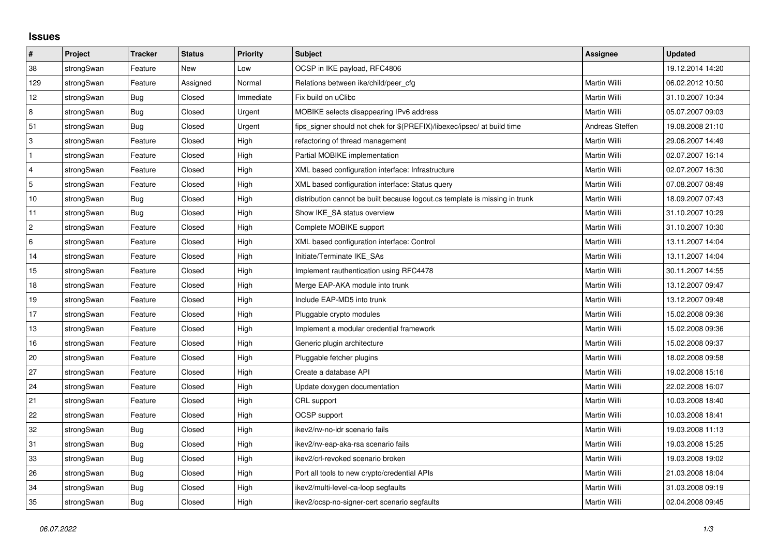## **Issues**

| $\pmb{\sharp}$   | <b>Project</b> | <b>Tracker</b> | <b>Status</b> | <b>Priority</b> | <b>Subject</b>                                                              | Assignee        | Updated          |
|------------------|----------------|----------------|---------------|-----------------|-----------------------------------------------------------------------------|-----------------|------------------|
| 38               | strongSwan     | Feature        | <b>New</b>    | Low             | OCSP in IKE payload, RFC4806                                                |                 | 19.12.2014 14:20 |
| 129              | strongSwan     | Feature        | Assigned      | Normal          | Relations between ike/child/peer cfg                                        | Martin Willi    | 06.02.2012 10:50 |
| 12               | strongSwan     | Bug            | Closed        | Immediate       | Fix build on uClibc                                                         | Martin Willi    | 31.10.2007 10:34 |
| 8                | strongSwan     | Bug            | Closed        | Urgent          | MOBIKE selects disappearing IPv6 address                                    | Martin Willi    | 05.07.2007 09:03 |
| 51               | strongSwan     | Bug            | Closed        | Urgent          | fips signer should not chek for \$(PREFIX)/libexec/ipsec/ at build time     | Andreas Steffen | 19.08.2008 21:10 |
| 3                | strongSwan     | Feature        | Closed        | High            | refactoring of thread management                                            | Martin Willi    | 29.06.2007 14:49 |
|                  | strongSwan     | Feature        | Closed        | High            | Partial MOBIKE implementation                                               | Martin Willi    | 02.07.2007 16:14 |
| $\overline{4}$   | strongSwan     | Feature        | Closed        | High            | XML based configuration interface: Infrastructure                           | Martin Willi    | 02.07.2007 16:30 |
| $\mathbf 5$      | strongSwan     | Feature        | Closed        | High            | XML based configuration interface: Status query                             | Martin Willi    | 07.08.2007 08:49 |
| 10               | strongSwan     | Bug            | Closed        | High            | distribution cannot be built because logout.cs template is missing in trunk | Martin Willi    | 18.09.2007 07:43 |
| 11               | strongSwan     | <b>Bug</b>     | Closed        | High            | Show IKE_SA status overview                                                 | Martin Willi    | 31.10.2007 10:29 |
| $\boldsymbol{2}$ | strongSwan     | Feature        | Closed        | High            | Complete MOBIKE support                                                     | Martin Willi    | 31.10.2007 10:30 |
| 6                | strongSwan     | Feature        | Closed        | High            | XML based configuration interface: Control                                  | Martin Willi    | 13.11.2007 14:04 |
| 14               | strongSwan     | Feature        | Closed        | High            | Initiate/Terminate IKE_SAs                                                  | Martin Willi    | 13.11.2007 14:04 |
| 15               | strongSwan     | Feature        | Closed        | High            | Implement rauthentication using RFC4478                                     | Martin Willi    | 30.11.2007 14:55 |
| $18$             | strongSwan     | Feature        | Closed        | High            | Merge EAP-AKA module into trunk                                             | Martin Willi    | 13.12.2007 09:47 |
| 19               | strongSwan     | Feature        | Closed        | High            | Include EAP-MD5 into trunk                                                  | Martin Willi    | 13.12.2007 09:48 |
| 17               | strongSwan     | Feature        | Closed        | High            | Pluggable crypto modules                                                    | Martin Willi    | 15.02.2008 09:36 |
| 13               | strongSwan     | Feature        | Closed        | High            | Implement a modular credential framework                                    | Martin Willi    | 15.02.2008 09:36 |
| 16               | strongSwan     | Feature        | Closed        | High            | Generic plugin architecture                                                 | Martin Willi    | 15.02.2008 09:37 |
| $20\,$           | strongSwan     | Feature        | Closed        | High            | Pluggable fetcher plugins                                                   | Martin Willi    | 18.02.2008 09:58 |
| 27               | strongSwan     | Feature        | Closed        | High            | Create a database API                                                       | Martin Willi    | 19.02.2008 15:16 |
| 24               | strongSwan     | Feature        | Closed        | High            | Update doxygen documentation                                                | Martin Willi    | 22.02.2008 16:07 |
| 21               | strongSwan     | Feature        | Closed        | High            | CRL support                                                                 | Martin Willi    | 10.03.2008 18:40 |
| 22               | strongSwan     | Feature        | Closed        | High            | <b>OCSP</b> support                                                         | Martin Willi    | 10.03.2008 18:41 |
| 32               | strongSwan     | Bug            | Closed        | High            | ikev2/rw-no-idr scenario fails                                              | Martin Willi    | 19.03.2008 11:13 |
| 31               | strongSwan     | Bug            | Closed        | High            | ikev2/rw-eap-aka-rsa scenario fails                                         | Martin Willi    | 19.03.2008 15:25 |
| 33               | strongSwan     | Bug            | Closed        | High            | ikev2/crl-revoked scenario broken                                           | Martin Willi    | 19.03.2008 19:02 |
| 26               | strongSwan     | Bug            | Closed        | High            | Port all tools to new crypto/credential APIs                                | Martin Willi    | 21.03.2008 18:04 |
| 34               | strongSwan     | Bug            | Closed        | High            | ikev2/multi-level-ca-loop segfaults                                         | Martin Willi    | 31.03.2008 09:19 |
| 35               | strongSwan     | <b>Bug</b>     | Closed        | High            | ikev2/ocsp-no-signer-cert scenario segfaults                                | Martin Willi    | 02.04.2008 09:45 |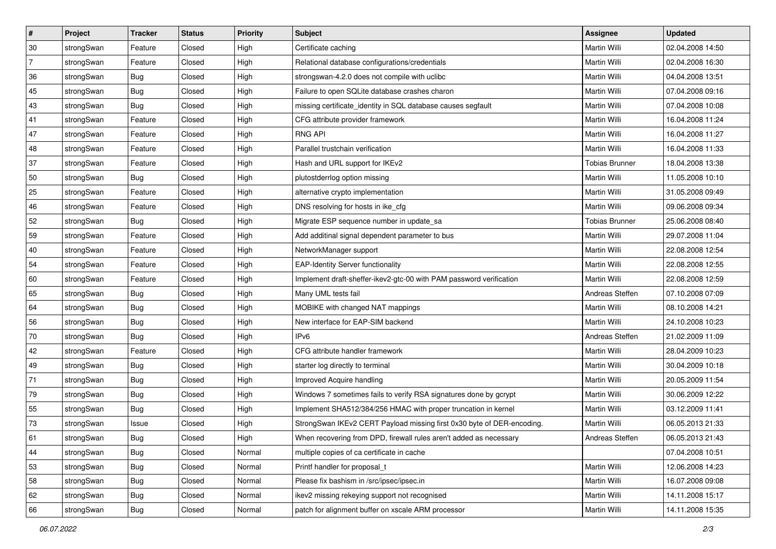| ∦              | Project    | <b>Tracker</b> | <b>Status</b> | <b>Priority</b> | <b>Subject</b>                                                         | <b>Assignee</b>       | <b>Updated</b>   |
|----------------|------------|----------------|---------------|-----------------|------------------------------------------------------------------------|-----------------------|------------------|
| 30             | strongSwan | Feature        | Closed        | High            | Certificate caching                                                    | Martin Willi          | 02.04.2008 14:50 |
| $\overline{7}$ | strongSwan | Feature        | Closed        | High            | Relational database configurations/credentials                         | Martin Willi          | 02.04.2008 16:30 |
| 36             | strongSwan | Bug            | Closed        | High            | strongswan-4.2.0 does not compile with uclibc                          | Martin Willi          | 04.04.2008 13:51 |
| 45             | strongSwan | Bug            | Closed        | High            | Failure to open SQLite database crashes charon                         | Martin Willi          | 07.04.2008 09:16 |
| 43             | strongSwan | Bug            | Closed        | High            | missing certificate_identity in SQL database causes segfault           | Martin Willi          | 07.04.2008 10:08 |
| 41             | strongSwan | Feature        | Closed        | High            | CFG attribute provider framework                                       | Martin Willi          | 16.04.2008 11:24 |
| 47             | strongSwan | Feature        | Closed        | High            | <b>RNG API</b>                                                         | Martin Willi          | 16.04.2008 11:27 |
| 48             | strongSwan | Feature        | Closed        | High            | Parallel trustchain verification                                       | Martin Willi          | 16.04.2008 11:33 |
| 37             | strongSwan | Feature        | Closed        | High            | Hash and URL support for IKEv2                                         | <b>Tobias Brunner</b> | 18.04.2008 13:38 |
| 50             | strongSwan | <b>Bug</b>     | Closed        | High            | plutostderrlog option missing                                          | Martin Willi          | 11.05.2008 10:10 |
| 25             | strongSwan | Feature        | Closed        | High            | alternative crypto implementation                                      | Martin Willi          | 31.05.2008 09:49 |
| 46             | strongSwan | Feature        | Closed        | High            | DNS resolving for hosts in ike_cfg                                     | Martin Willi          | 09.06.2008 09:34 |
| 52             | strongSwan | Bug            | Closed        | High            | Migrate ESP sequence number in update_sa                               | <b>Tobias Brunner</b> | 25.06.2008 08:40 |
| 59             | strongSwan | Feature        | Closed        | High            | Add additinal signal dependent parameter to bus                        | Martin Willi          | 29.07.2008 11:04 |
| 40             | strongSwan | Feature        | Closed        | High            | NetworkManager support                                                 | Martin Willi          | 22.08.2008 12:54 |
| 54             | strongSwan | Feature        | Closed        | High            | <b>EAP-Identity Server functionality</b>                               | Martin Willi          | 22.08.2008 12:55 |
| 60             | strongSwan | Feature        | Closed        | High            | Implement draft-sheffer-ikev2-gtc-00 with PAM password verification    | Martin Willi          | 22.08.2008 12:59 |
| 65             | strongSwan | Bug            | Closed        | High            | Many UML tests fail                                                    | Andreas Steffen       | 07.10.2008 07:09 |
| 64             | strongSwan | <b>Bug</b>     | Closed        | High            | MOBIKE with changed NAT mappings                                       | Martin Willi          | 08.10.2008 14:21 |
| 56             | strongSwan | <b>Bug</b>     | Closed        | High            | New interface for EAP-SIM backend                                      | Martin Willi          | 24.10.2008 10:23 |
| 70             | strongSwan | Bug            | Closed        | High            | IP <sub>v6</sub>                                                       | Andreas Steffen       | 21.02.2009 11:09 |
| 42             | strongSwan | Feature        | Closed        | High            | CFG attribute handler framework                                        | Martin Willi          | 28.04.2009 10:23 |
| 49             | strongSwan | Bug            | Closed        | High            | starter log directly to terminal                                       | Martin Willi          | 30.04.2009 10:18 |
| 71             | strongSwan | <b>Bug</b>     | Closed        | High            | Improved Acquire handling                                              | Martin Willi          | 20.05.2009 11:54 |
| 79             | strongSwan | <b>Bug</b>     | Closed        | High            | Windows 7 sometimes fails to verify RSA signatures done by gcrypt      | <b>Martin Willi</b>   | 30.06.2009 12:22 |
| 55             | strongSwan | Bug            | Closed        | High            | Implement SHA512/384/256 HMAC with proper truncation in kernel         | Martin Willi          | 03.12.2009 11:41 |
| 73             | strongSwan | Issue          | Closed        | High            | StrongSwan IKEv2 CERT Payload missing first 0x30 byte of DER-encoding. | Martin Willi          | 06.05.2013 21:33 |
| 61             | strongSwan | Bug            | Closed        | High            | When recovering from DPD, firewall rules aren't added as necessary     | Andreas Steffen       | 06.05.2013 21:43 |
| 44             | strongSwan | <b>Bug</b>     | Closed        | Normal          | multiple copies of ca certificate in cache                             |                       | 07.04.2008 10:51 |
| 53             | strongSwan | Bug            | Closed        | Normal          | Printf handler for proposal_t                                          | Martin Willi          | 12.06.2008 14:23 |
| 58             | strongSwan | Bug            | Closed        | Normal          | Please fix bashism in /src/ipsec/ipsec.in                              | Martin Willi          | 16.07.2008 09:08 |
| 62             | strongSwan | Bug            | Closed        | Normal          | ikev2 missing rekeying support not recognised                          | Martin Willi          | 14.11.2008 15:17 |
| 66             | strongSwan | <b>Bug</b>     | Closed        | Normal          | patch for alignment buffer on xscale ARM processor                     | Martin Willi          | 14.11.2008 15:35 |